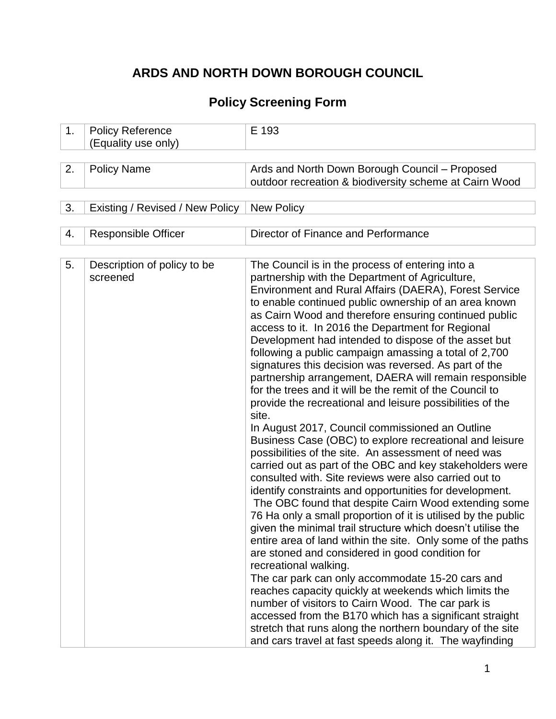# **ARDS AND NORTH DOWN BOROUGH COUNCIL**

# **Policy Screening Form**

| 1. | <b>Policy Reference</b><br>(Equality use only) | E 193                                                                                                                                                                                                                                                                                                                                                                                                                                                                                                                                                                                                                                                                                                                                                                                                                                                                                                                                                                                                                                                                                                                                                                                                                                                                                                                                                                                                                                                                                                                                                                                                                                                                                                                                                   |
|----|------------------------------------------------|---------------------------------------------------------------------------------------------------------------------------------------------------------------------------------------------------------------------------------------------------------------------------------------------------------------------------------------------------------------------------------------------------------------------------------------------------------------------------------------------------------------------------------------------------------------------------------------------------------------------------------------------------------------------------------------------------------------------------------------------------------------------------------------------------------------------------------------------------------------------------------------------------------------------------------------------------------------------------------------------------------------------------------------------------------------------------------------------------------------------------------------------------------------------------------------------------------------------------------------------------------------------------------------------------------------------------------------------------------------------------------------------------------------------------------------------------------------------------------------------------------------------------------------------------------------------------------------------------------------------------------------------------------------------------------------------------------------------------------------------------------|
|    |                                                |                                                                                                                                                                                                                                                                                                                                                                                                                                                                                                                                                                                                                                                                                                                                                                                                                                                                                                                                                                                                                                                                                                                                                                                                                                                                                                                                                                                                                                                                                                                                                                                                                                                                                                                                                         |
| 2. | <b>Policy Name</b>                             | Ards and North Down Borough Council - Proposed<br>outdoor recreation & biodiversity scheme at Cairn Wood                                                                                                                                                                                                                                                                                                                                                                                                                                                                                                                                                                                                                                                                                                                                                                                                                                                                                                                                                                                                                                                                                                                                                                                                                                                                                                                                                                                                                                                                                                                                                                                                                                                |
|    |                                                |                                                                                                                                                                                                                                                                                                                                                                                                                                                                                                                                                                                                                                                                                                                                                                                                                                                                                                                                                                                                                                                                                                                                                                                                                                                                                                                                                                                                                                                                                                                                                                                                                                                                                                                                                         |
| 3. | Existing / Revised / New Policy                | <b>New Policy</b>                                                                                                                                                                                                                                                                                                                                                                                                                                                                                                                                                                                                                                                                                                                                                                                                                                                                                                                                                                                                                                                                                                                                                                                                                                                                                                                                                                                                                                                                                                                                                                                                                                                                                                                                       |
|    |                                                |                                                                                                                                                                                                                                                                                                                                                                                                                                                                                                                                                                                                                                                                                                                                                                                                                                                                                                                                                                                                                                                                                                                                                                                                                                                                                                                                                                                                                                                                                                                                                                                                                                                                                                                                                         |
| 4. | <b>Responsible Officer</b>                     | Director of Finance and Performance                                                                                                                                                                                                                                                                                                                                                                                                                                                                                                                                                                                                                                                                                                                                                                                                                                                                                                                                                                                                                                                                                                                                                                                                                                                                                                                                                                                                                                                                                                                                                                                                                                                                                                                     |
| 5. | Description of policy to be<br>screened        | The Council is in the process of entering into a<br>partnership with the Department of Agriculture,<br>Environment and Rural Affairs (DAERA), Forest Service<br>to enable continued public ownership of an area known<br>as Cairn Wood and therefore ensuring continued public<br>access to it. In 2016 the Department for Regional<br>Development had intended to dispose of the asset but<br>following a public campaign amassing a total of 2,700<br>signatures this decision was reversed. As part of the<br>partnership arrangement, DAERA will remain responsible<br>for the trees and it will be the remit of the Council to<br>provide the recreational and leisure possibilities of the<br>site.<br>In August 2017, Council commissioned an Outline<br>Business Case (OBC) to explore recreational and leisure<br>possibilities of the site. An assessment of need was<br>carried out as part of the OBC and key stakeholders were<br>consulted with. Site reviews were also carried out to<br>identify constraints and opportunities for development.<br>The OBC found that despite Cairn Wood extending some<br>76 Ha only a small proportion of it is utilised by the public<br>given the minimal trail structure which doesn't utilise the<br>entire area of land within the site. Only some of the paths<br>are stoned and considered in good condition for<br>recreational walking.<br>The car park can only accommodate 15-20 cars and<br>reaches capacity quickly at weekends which limits the<br>number of visitors to Cairn Wood. The car park is<br>accessed from the B170 which has a significant straight<br>stretch that runs along the northern boundary of the site<br>and cars travel at fast speeds along it. The wayfinding |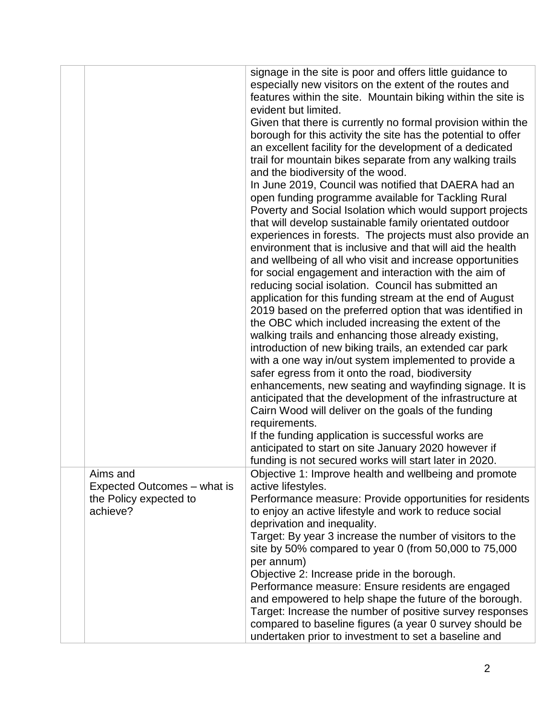|                                                                               | signage in the site is poor and offers little guidance to<br>especially new visitors on the extent of the routes and<br>features within the site. Mountain biking within the site is<br>evident but limited.<br>Given that there is currently no formal provision within the<br>borough for this activity the site has the potential to offer<br>an excellent facility for the development of a dedicated<br>trail for mountain bikes separate from any walking trails<br>and the biodiversity of the wood.<br>In June 2019, Council was notified that DAERA had an<br>open funding programme available for Tackling Rural<br>Poverty and Social Isolation which would support projects<br>that will develop sustainable family orientated outdoor<br>experiences in forests. The projects must also provide an<br>environment that is inclusive and that will aid the health<br>and wellbeing of all who visit and increase opportunities<br>for social engagement and interaction with the aim of<br>reducing social isolation. Council has submitted an<br>application for this funding stream at the end of August<br>2019 based on the preferred option that was identified in<br>the OBC which included increasing the extent of the<br>walking trails and enhancing those already existing,<br>introduction of new biking trails, an extended car park<br>with a one way in/out system implemented to provide a<br>safer egress from it onto the road, biodiversity<br>enhancements, new seating and wayfinding signage. It is<br>anticipated that the development of the infrastructure at<br>Cairn Wood will deliver on the goals of the funding<br>requirements.<br>If the funding application is successful works are |
|-------------------------------------------------------------------------------|----------------------------------------------------------------------------------------------------------------------------------------------------------------------------------------------------------------------------------------------------------------------------------------------------------------------------------------------------------------------------------------------------------------------------------------------------------------------------------------------------------------------------------------------------------------------------------------------------------------------------------------------------------------------------------------------------------------------------------------------------------------------------------------------------------------------------------------------------------------------------------------------------------------------------------------------------------------------------------------------------------------------------------------------------------------------------------------------------------------------------------------------------------------------------------------------------------------------------------------------------------------------------------------------------------------------------------------------------------------------------------------------------------------------------------------------------------------------------------------------------------------------------------------------------------------------------------------------------------------------------------------------------------------------------------------------------------------------------------|
|                                                                               | anticipated to start on site January 2020 however if                                                                                                                                                                                                                                                                                                                                                                                                                                                                                                                                                                                                                                                                                                                                                                                                                                                                                                                                                                                                                                                                                                                                                                                                                                                                                                                                                                                                                                                                                                                                                                                                                                                                             |
|                                                                               | funding is not secured works will start later in 2020.                                                                                                                                                                                                                                                                                                                                                                                                                                                                                                                                                                                                                                                                                                                                                                                                                                                                                                                                                                                                                                                                                                                                                                                                                                                                                                                                                                                                                                                                                                                                                                                                                                                                           |
| Aims and<br>Expected Outcomes - what is<br>the Policy expected to<br>achieve? | Objective 1: Improve health and wellbeing and promote<br>active lifestyles.<br>Performance measure: Provide opportunities for residents<br>to enjoy an active lifestyle and work to reduce social<br>deprivation and inequality.<br>Target: By year 3 increase the number of visitors to the<br>site by 50% compared to year 0 (from 50,000 to 75,000<br>per annum)<br>Objective 2: Increase pride in the borough.<br>Performance measure: Ensure residents are engaged<br>and empowered to help shape the future of the borough.<br>Target: Increase the number of positive survey responses                                                                                                                                                                                                                                                                                                                                                                                                                                                                                                                                                                                                                                                                                                                                                                                                                                                                                                                                                                                                                                                                                                                                    |
|                                                                               | compared to baseline figures (a year 0 survey should be<br>undertaken prior to investment to set a baseline and                                                                                                                                                                                                                                                                                                                                                                                                                                                                                                                                                                                                                                                                                                                                                                                                                                                                                                                                                                                                                                                                                                                                                                                                                                                                                                                                                                                                                                                                                                                                                                                                                  |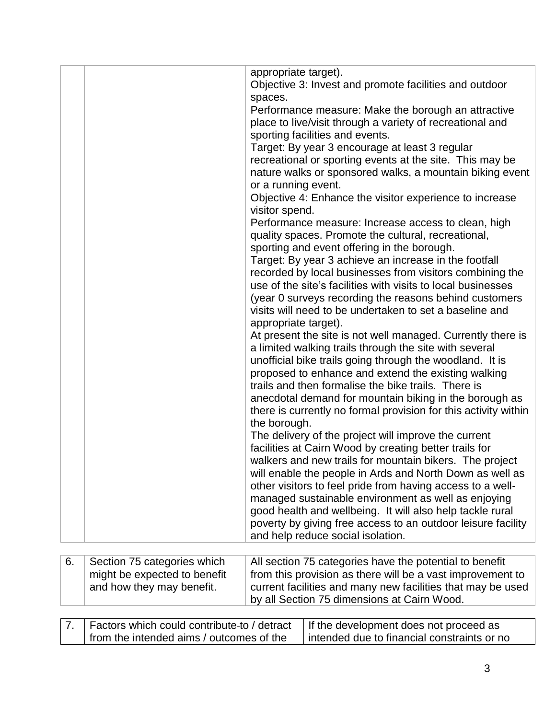|                                                           | appropriate target).<br>Objective 3: Invest and promote facilities and outdoor<br>spaces.<br>Performance measure: Make the borough an attractive                                                                                                                                                                                                                                                                                                                                                                                                                                                                                                                                                                                                                                                                                                                                                                                                                                                                                                                                                                                                                                                                                                                                                                                                                                                                                                                                                                                                                                                                                                                                                                                                                                                                                                          |
|-----------------------------------------------------------|-----------------------------------------------------------------------------------------------------------------------------------------------------------------------------------------------------------------------------------------------------------------------------------------------------------------------------------------------------------------------------------------------------------------------------------------------------------------------------------------------------------------------------------------------------------------------------------------------------------------------------------------------------------------------------------------------------------------------------------------------------------------------------------------------------------------------------------------------------------------------------------------------------------------------------------------------------------------------------------------------------------------------------------------------------------------------------------------------------------------------------------------------------------------------------------------------------------------------------------------------------------------------------------------------------------------------------------------------------------------------------------------------------------------------------------------------------------------------------------------------------------------------------------------------------------------------------------------------------------------------------------------------------------------------------------------------------------------------------------------------------------------------------------------------------------------------------------------------------------|
|                                                           | place to live/visit through a variety of recreational and<br>sporting facilities and events.<br>Target: By year 3 encourage at least 3 regular<br>recreational or sporting events at the site. This may be<br>nature walks or sponsored walks, a mountain biking event<br>or a running event.<br>Objective 4: Enhance the visitor experience to increase<br>visitor spend.<br>Performance measure: Increase access to clean, high<br>quality spaces. Promote the cultural, recreational,<br>sporting and event offering in the borough.<br>Target: By year 3 achieve an increase in the footfall<br>recorded by local businesses from visitors combining the<br>use of the site's facilities with visits to local businesses<br>(year 0 surveys recording the reasons behind customers<br>visits will need to be undertaken to set a baseline and<br>appropriate target).<br>At present the site is not well managed. Currently there is<br>a limited walking trails through the site with several<br>unofficial bike trails going through the woodland. It is<br>proposed to enhance and extend the existing walking<br>trails and then formalise the bike trails. There is<br>anecdotal demand for mountain biking in the borough as<br>there is currently no formal provision for this activity within<br>the borough.<br>The delivery of the project will improve the current<br>facilities at Cairn Wood by creating better trails for<br>walkers and new trails for mountain bikers. The project<br>will enable the people in Ards and North Down as well as<br>other visitors to feel pride from having access to a well-<br>managed sustainable environment as well as enjoying<br>good health and wellbeing. It will also help tackle rural<br>poverty by giving free access to an outdoor leisure facility<br>and help reduce social isolation. |
| 6.<br>Section 75 categories which                         | All section 75 categories have the potential to benefit                                                                                                                                                                                                                                                                                                                                                                                                                                                                                                                                                                                                                                                                                                                                                                                                                                                                                                                                                                                                                                                                                                                                                                                                                                                                                                                                                                                                                                                                                                                                                                                                                                                                                                                                                                                                   |
| might be expected to benefit<br>and how they may benefit. | from this provision as there will be a vast improvement to<br>current facilities and many new facilities that may be used<br>by all Section 75 dimensions at Cairn Wood.                                                                                                                                                                                                                                                                                                                                                                                                                                                                                                                                                                                                                                                                                                                                                                                                                                                                                                                                                                                                                                                                                                                                                                                                                                                                                                                                                                                                                                                                                                                                                                                                                                                                                  |
|                                                           |                                                                                                                                                                                                                                                                                                                                                                                                                                                                                                                                                                                                                                                                                                                                                                                                                                                                                                                                                                                                                                                                                                                                                                                                                                                                                                                                                                                                                                                                                                                                                                                                                                                                                                                                                                                                                                                           |

| 7.   Factors which could contribute-to / detract   If the development does not proceed as |                                               |
|-------------------------------------------------------------------------------------------|-----------------------------------------------|
| from the intended aims / outcomes of the                                                  | l intended due to financial constraints or no |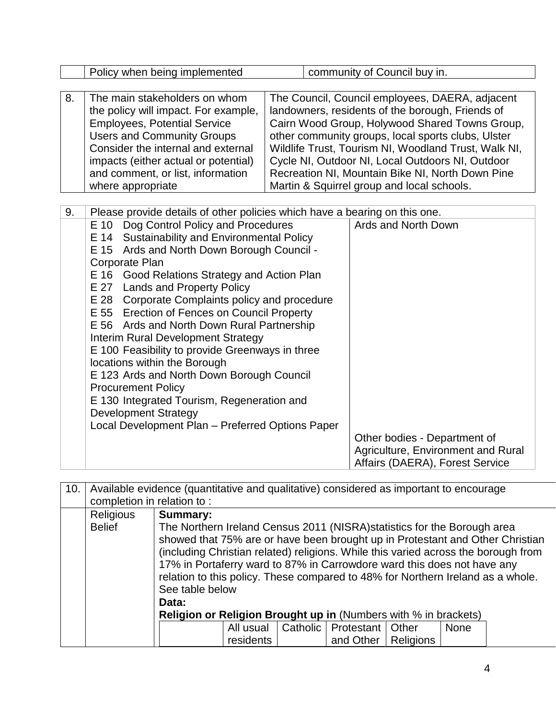|      | Policy when being implemented                                                                                                                                                                                                                                                                                                                                                                                                                                                                                                                                                                                                                                                                                          |                                                                                                                                                                                                                                                                                                                                                                                                                           |  | community of Council buy in.                                                                                                 |  |  |
|------|------------------------------------------------------------------------------------------------------------------------------------------------------------------------------------------------------------------------------------------------------------------------------------------------------------------------------------------------------------------------------------------------------------------------------------------------------------------------------------------------------------------------------------------------------------------------------------------------------------------------------------------------------------------------------------------------------------------------|---------------------------------------------------------------------------------------------------------------------------------------------------------------------------------------------------------------------------------------------------------------------------------------------------------------------------------------------------------------------------------------------------------------------------|--|------------------------------------------------------------------------------------------------------------------------------|--|--|
|      |                                                                                                                                                                                                                                                                                                                                                                                                                                                                                                                                                                                                                                                                                                                        |                                                                                                                                                                                                                                                                                                                                                                                                                           |  |                                                                                                                              |  |  |
| 8.   | The main stakeholders on whom<br>the policy will impact. For example,<br><b>Employees, Potential Service</b><br><b>Users and Community Groups</b><br>Consider the internal and external<br>impacts (either actual or potential)<br>and comment, or list, information<br>where appropriate                                                                                                                                                                                                                                                                                                                                                                                                                              | The Council, Council employees, DAERA, adjacent<br>landowners, residents of the borough, Friends of<br>Cairn Wood Group, Holywood Shared Towns Group,<br>other community groups, local sports clubs, Ulster<br>Wildlife Trust, Tourism NI, Woodland Trust, Walk NI,<br>Cycle NI, Outdoor NI, Local Outdoors NI, Outdoor<br>Recreation NI, Mountain Bike NI, North Down Pine<br>Martin & Squirrel group and local schools. |  |                                                                                                                              |  |  |
| 9.   | Please provide details of other policies which have a bearing on this one.                                                                                                                                                                                                                                                                                                                                                                                                                                                                                                                                                                                                                                             |                                                                                                                                                                                                                                                                                                                                                                                                                           |  |                                                                                                                              |  |  |
| E 10 | Dog Control Policy and Procedures<br>E 14 Sustainability and Environmental Policy<br>E 15 Ards and North Down Borough Council -<br>Corporate Plan<br>E 16 Good Relations Strategy and Action Plan<br>E 27 Lands and Property Policy<br>E 28 Corporate Complaints policy and procedure<br>E 55 Erection of Fences on Council Property<br>E 56 Ards and North Down Rural Partnership<br>Interim Rural Development Strategy<br>E 100 Feasibility to provide Greenways in three<br>locations within the Borough<br>E 123 Ards and North Down Borough Council<br><b>Procurement Policy</b><br>E 130 Integrated Tourism, Regeneration and<br><b>Development Strategy</b><br>Local Development Plan - Preferred Options Paper |                                                                                                                                                                                                                                                                                                                                                                                                                           |  | Ards and North Down<br>Other bodies - Department of<br>Agriculture, Environment and Rural<br>Affairs (DAERA), Forest Service |  |  |

| 10. | Available evidence (quantitative and qualitative) considered as important to encourage |                                                                                    |                                                                               |  |                               |                  |             |  |  |
|-----|----------------------------------------------------------------------------------------|------------------------------------------------------------------------------------|-------------------------------------------------------------------------------|--|-------------------------------|------------------|-------------|--|--|
|     | completion in relation to:                                                             |                                                                                    |                                                                               |  |                               |                  |             |  |  |
|     | Religious                                                                              | <b>Summary:</b>                                                                    |                                                                               |  |                               |                  |             |  |  |
|     | <b>Belief</b>                                                                          |                                                                                    | The Northern Ireland Census 2011 (NISRA) statistics for the Borough area      |  |                               |                  |             |  |  |
|     |                                                                                        |                                                                                    | showed that 75% are or have been brought up in Protestant and Other Christian |  |                               |                  |             |  |  |
|     |                                                                                        | (including Christian related) religions. While this varied across the borough from |                                                                               |  |                               |                  |             |  |  |
|     |                                                                                        | 17% in Portaferry ward to 87% in Carrowdore ward this does not have any            |                                                                               |  |                               |                  |             |  |  |
|     |                                                                                        | relation to this policy. These compared to 48% for Northern Ireland as a whole.    |                                                                               |  |                               |                  |             |  |  |
|     |                                                                                        | See table below                                                                    |                                                                               |  |                               |                  |             |  |  |
|     |                                                                                        | Data:                                                                              |                                                                               |  |                               |                  |             |  |  |
|     | <b>Religion or Religion Brought up in (Numbers with % in brackets)</b>                 |                                                                                    |                                                                               |  |                               |                  |             |  |  |
|     |                                                                                        |                                                                                    | All usual                                                                     |  | Catholic   Protestant   Other |                  | <b>None</b> |  |  |
|     |                                                                                        |                                                                                    | residents                                                                     |  | and Other                     | <b>Religions</b> |             |  |  |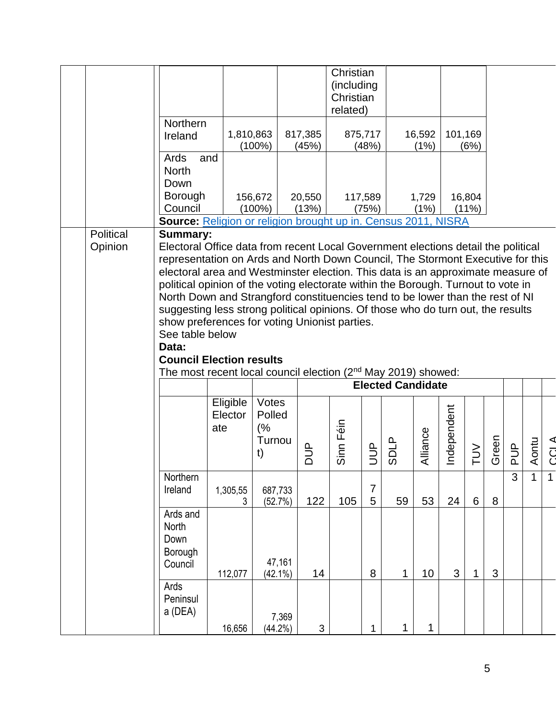|                      |                                                                                                                                                                                                                                                                                                                                                                                                                                                                                                                                                                                                                                                     |                            |                                       |                  | Christian<br>(including<br>Christian<br>related) |                     |                          |                |             |                 |       |               |       |       |
|----------------------|-----------------------------------------------------------------------------------------------------------------------------------------------------------------------------------------------------------------------------------------------------------------------------------------------------------------------------------------------------------------------------------------------------------------------------------------------------------------------------------------------------------------------------------------------------------------------------------------------------------------------------------------------------|----------------------------|---------------------------------------|------------------|--------------------------------------------------|---------------------|--------------------------|----------------|-------------|-----------------|-------|---------------|-------|-------|
|                      | Northern<br>Ireland                                                                                                                                                                                                                                                                                                                                                                                                                                                                                                                                                                                                                                 | 1,810,863                  | $(100\%)$                             | 817,385<br>(45%) |                                                  | 875,717<br>(48%)    |                          | 16,592<br>(1%) | 101,169     | (6%)            |       |               |       |       |
|                      | Ards<br>and<br><b>North</b><br>Down                                                                                                                                                                                                                                                                                                                                                                                                                                                                                                                                                                                                                 |                            |                                       |                  |                                                  |                     |                          |                |             |                 |       |               |       |       |
|                      | Borough<br>Council<br><b>Source:</b> Religion or religion brought up in. Census 2011, NISRA                                                                                                                                                                                                                                                                                                                                                                                                                                                                                                                                                         |                            | 156,672<br>$(100\%)$                  | 20,550<br>(13%)  |                                                  | 117,589<br>(75%)    |                          | 1,729<br>(1%)  |             | 16,804<br>(11%) |       |               |       |       |
| Political<br>Opinion | <b>Summary:</b><br>Electoral Office data from recent Local Government elections detail the political<br>representation on Ards and North Down Council, The Stormont Executive for this<br>electoral area and Westminster election. This data is an approximate measure of<br>political opinion of the voting electorate within the Borough. Turnout to vote in<br>North Down and Strangford constituencies tend to be lower than the rest of NI<br>suggesting less strong political opinions. Of those who do turn out, the results<br>show preferences for voting Unionist parties.<br>See table below<br>Data:<br><b>Council Election results</b> |                            |                                       |                  |                                                  |                     |                          |                |             |                 |       |               |       |       |
|                      | The most recent local council election (2 <sup>nd</sup> May 2019) showed:                                                                                                                                                                                                                                                                                                                                                                                                                                                                                                                                                                           |                            |                                       |                  |                                                  |                     | <b>Elected Candidate</b> |                |             |                 |       |               |       |       |
|                      |                                                                                                                                                                                                                                                                                                                                                                                                                                                                                                                                                                                                                                                     | Eligible<br>Elector<br>ate | Votes<br>Polled<br>(%<br>Turnou<br>t) |                  | Sinn Féin                                        | UUP                 | <b>SDLP</b>              | Alliance       | Independent | $\geq$          | Green | $\frac{p}{q}$ | Aontu | CCL A |
|                      | Northern<br>Ireland                                                                                                                                                                                                                                                                                                                                                                                                                                                                                                                                                                                                                                 | 1,305,55<br>3              | 687,733<br>(52.7%)                    | 122              | 105                                              | $\overline{7}$<br>5 | 59                       | 53             | 24          | 6               | 8     | 3             | 1     | 1     |
|                      | Ards and<br>North<br>Down<br>Borough<br>Council                                                                                                                                                                                                                                                                                                                                                                                                                                                                                                                                                                                                     | 112,077                    | 47,161<br>$(42.1\%)$                  | 14               |                                                  | 8                   | 1                        | 10             | 3           | 1               | 3     |               |       |       |
|                      | Ards<br>Peninsul<br>a (DEA)                                                                                                                                                                                                                                                                                                                                                                                                                                                                                                                                                                                                                         | 16,656                     | 7,369<br>(44.2%)                      | $\mathbf{3}$     |                                                  | $\mathbf 1$         | 1                        | 1              |             |                 |       |               |       |       |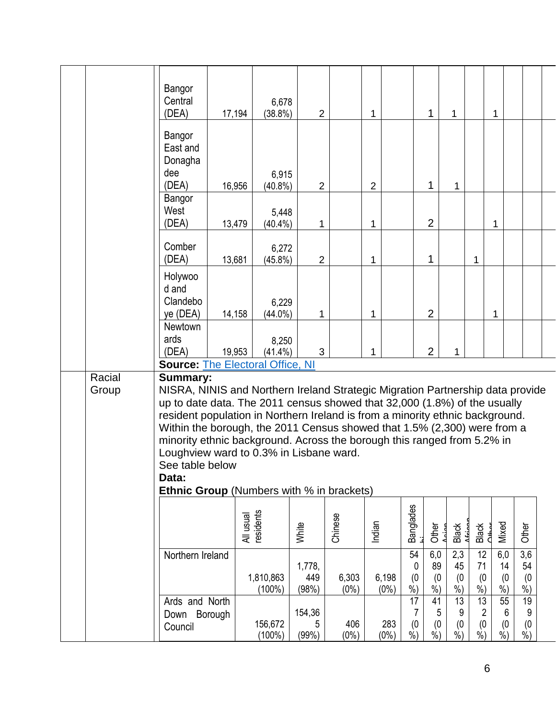|                                                                                                                                                                                                                                                                                                                                                                                                                                                                                                                                                             | Bangor<br>Central<br>(DEA)                       | $(38.8\%)$<br>17,194   | 6,678<br>$\overline{2}$ |                  | 1                |                         | 1<br>1                       |                                                | 1                     |                           |                           |  |
|-------------------------------------------------------------------------------------------------------------------------------------------------------------------------------------------------------------------------------------------------------------------------------------------------------------------------------------------------------------------------------------------------------------------------------------------------------------------------------------------------------------------------------------------------------------|--------------------------------------------------|------------------------|-------------------------|------------------|------------------|-------------------------|------------------------------|------------------------------------------------|-----------------------|---------------------------|---------------------------|--|
|                                                                                                                                                                                                                                                                                                                                                                                                                                                                                                                                                             | Bangor<br>East and<br>Donagha<br>dee<br>(DEA)    | 16,956<br>$(40.8\%)$   | 6,915<br>$\overline{2}$ |                  | $\overline{2}$   |                         | $\mathbf{1}$<br>$\mathbf{1}$ |                                                |                       |                           |                           |  |
|                                                                                                                                                                                                                                                                                                                                                                                                                                                                                                                                                             | Bangor<br>West<br>(DEA)                          | 13,479<br>$(40.4\%)$   | 5,448<br>1              |                  | $\mathbf 1$      |                         | $\overline{2}$               |                                                | 1                     |                           |                           |  |
|                                                                                                                                                                                                                                                                                                                                                                                                                                                                                                                                                             | Comber<br>(DEA)                                  | 13,681<br>$(45.8\%)$   | 6,272<br>$\overline{2}$ |                  | 1                |                         | 1                            | 1                                              |                       |                           |                           |  |
|                                                                                                                                                                                                                                                                                                                                                                                                                                                                                                                                                             | Holywoo<br>d and<br>Clandebo<br>ye (DEA)         | 14,158<br>$(44.0\%)$   | 6,229<br>1              |                  | 1                |                         | $\overline{2}$               |                                                | 1                     |                           |                           |  |
|                                                                                                                                                                                                                                                                                                                                                                                                                                                                                                                                                             | Newtown<br>ards<br>(DEA)                         | 19,953<br>$(41.4\%)$   | 8,250<br>3              |                  | 1                |                         | $\overline{2}$<br>1          |                                                |                       |                           |                           |  |
| <b>Source: The Electoral Office, NI</b><br>Racial<br><b>Summary:</b><br>NISRA, NINIS and Northern Ireland Strategic Migration Partnership data provide<br>Group<br>up to date data. The 2011 census showed that 32,000 (1.8%) of the usually<br>resident population in Northern Ireland is from a minority ethnic background.<br>Within the borough, the 2011 Census showed that 1.5% (2,300) were from a<br>minority ethnic background. Across the borough this ranged from 5.2% in<br>Loughview ward to 0.3% in Lisbane ward.<br>See table below<br>Data: |                                                  |                        |                         |                  |                  |                         |                              |                                                |                       |                           |                           |  |
|                                                                                                                                                                                                                                                                                                                                                                                                                                                                                                                                                             | <b>Ethnic Group</b> (Numbers with % in brackets) | residents<br>All usual | White                   | Chinese          | Indian           | <b>Banglades</b>        | Other<br>Black               |                                                | Black<br>Chhor        | Mixed                     | Other                     |  |
|                                                                                                                                                                                                                                                                                                                                                                                                                                                                                                                                                             | Northern Ireland                                 | 1,810,863<br>$(100\%)$ | 1,778,<br>449<br>(98%)  | 6,303<br>$(0\%)$ | 6,198<br>$(0\%)$ | 54<br>0<br>(0)<br>$%$ ) | 6,0<br>89<br>(0)<br>$%$ )    | 2,3<br>12<br>45<br>71<br>(0)<br>$%$ )<br>$%$ ) | (0)                   | 6,0<br>14<br>(0)<br>$%$ ) | 3,6<br>54<br>(0)<br>$%$ ) |  |
|                                                                                                                                                                                                                                                                                                                                                                                                                                                                                                                                                             | Ards and North<br>Borough<br>Down<br>Council     | 156,672<br>$(100\%)$   | 154,36<br>5<br>(99%)    | 406<br>$(0\%)$   | 283<br>$(0\%)$   | 17<br>7<br>(0)<br>$%$ ) | 41<br>5<br>(0)<br>$%$ )      | 13<br>13<br>9<br>(0)<br>$\frac{6}{6}$<br>$%$ ) | $\overline{c}$<br>(0) | 55<br>6<br>(0)<br>$%$ )   | 19<br>9<br>(0)<br>$%$ )   |  |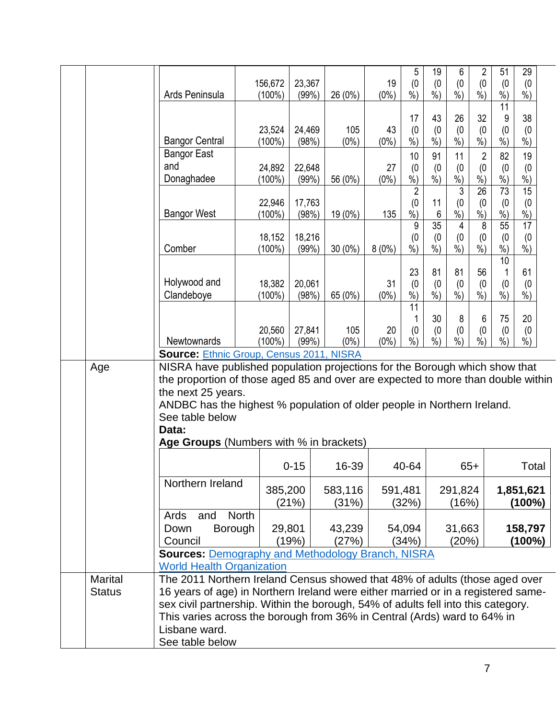|  |                                 |                                                                                                                                                                                                                                                                                                                                                                                        | 156,672             | 23,367           |                  | 19            | 5<br>(0)                            | 19<br>(0)                       | 6<br>(0)                                  | 2<br>(0)                                                    | 51<br>(0)                              | 29<br>(0)                       |  |
|--|---------------------------------|----------------------------------------------------------------------------------------------------------------------------------------------------------------------------------------------------------------------------------------------------------------------------------------------------------------------------------------------------------------------------------------|---------------------|------------------|------------------|---------------|-------------------------------------|---------------------------------|-------------------------------------------|-------------------------------------------------------------|----------------------------------------|---------------------------------|--|
|  |                                 | Ards Peninsula                                                                                                                                                                                                                                                                                                                                                                         | $(100\%)$           | (99%)            | 26 (0%)          | $(0\%)$       | $\overline{\frac{9}{6}})$           | $\frac{9}{6}$                   | $\overline{\frac{9}{6}})$                 | $\overline{\frac{9}{6}})$                                   | $%$ )<br>11                            | $\frac{9}{6}$                   |  |
|  |                                 | <b>Bangor Central</b>                                                                                                                                                                                                                                                                                                                                                                  | 23,524<br>$(100\%)$ | 24,469<br>(98%)  | 105<br>$(0\%)$   | 43<br>$(0\%)$ | 17<br>(0)<br>$%$ )                  | 43<br>(0)<br>$%$ )              | 26<br>(0)<br>$%$ )                        | 32<br>(0)<br>$%$ )                                          | 9<br>(0)<br>$\%$ )                     | 38<br>(0)<br>$%$ )              |  |
|  |                                 | <b>Bangor East</b><br>and                                                                                                                                                                                                                                                                                                                                                              | 24,892              | 22,648           |                  | 27            | 10<br>(0)                           | 91<br>(0)                       | 11<br>(0)                                 | 2<br>(0)                                                    | 82<br>(0)                              | 19<br>(0)                       |  |
|  |                                 | Donaghadee                                                                                                                                                                                                                                                                                                                                                                             | $(100\%)$           | (99%)            | 56 (0%)          | $(0\%)$       | $%$ )                               | $%$ )                           | $\frac{9}{6}$                             | %                                                           | $%$ )                                  | $%$ )                           |  |
|  |                                 | <b>Bangor West</b>                                                                                                                                                                                                                                                                                                                                                                     | 22,946<br>(100%)    | 17,763<br>(98%)  | 19 (0%)          | 135           | $\overline{2}$<br>(0)<br>$\dot{\%}$ | 11<br>6                         | $\mathfrak{3}$<br>(0)<br>$\overline{\%})$ | $\overline{26}$<br>(0)<br>$\frac{\dot{\ }}{\dot{\gamma_0}}$ | 73<br>(0)<br>$\overline{\frac{9}{6}})$ | 15<br>(0)<br>$\frac{9}{6}$      |  |
|  |                                 | Comber                                                                                                                                                                                                                                                                                                                                                                                 | 18,152<br>$(100\%)$ | 18,216<br>(99%)  | 30 (0%)          | 8(0%)         | 9<br>(0)<br>%                       | $\overline{35}$<br>(0)<br>$%$ ) | 4<br>(0)<br>$%$ )                         | 8<br>(0)<br>$%$ )                                           | 55<br>(0)<br>$%$ )                     | $\overline{17}$<br>(0)<br>$%$ ) |  |
|  |                                 | Holywood and<br>Clandeboye                                                                                                                                                                                                                                                                                                                                                             | 18,382<br>$(100\%)$ | 20,061<br>(98%)  | 65 (0%)          | 31<br>$(0\%)$ | 23<br>(0)<br>$\frac{0}{0}$          | 81<br>(0)<br>$%$ )              | 81<br>(0)<br>$%$ )                        | 56<br>(0)<br>$%$ )                                          | 10<br>(0)<br>$%$ )                     | 61<br>(0)<br>$%$ )              |  |
|  |                                 | Newtownards                                                                                                                                                                                                                                                                                                                                                                            | 20,560<br>$(100\%)$ | 27,841<br>(99%)  | 105<br>$(0\%)$   | 20<br>$(0\%)$ | 11<br>(0)<br>%                      | 30<br>(0)<br>$%$ )              | 8<br>(0)<br>$%$ )                         | 6<br>(0)<br>$%$ )                                           | 75<br>(0)<br>$%$ )                     | 20<br>(0)<br>$%$ )              |  |
|  |                                 | <b>Source: Ethnic Group, Census 2011, NISRA</b>                                                                                                                                                                                                                                                                                                                                        |                     |                  |                  |               |                                     |                                 |                                           |                                                             |                                        |                                 |  |
|  | Age                             | NISRA have published population projections for the Borough which show that<br>the proportion of those aged 85 and over are expected to more than double within<br>the next 25 years.<br>ANDBC has the highest % population of older people in Northern Ireland.<br>See table below<br>Data:<br>Age Groups (Numbers with % in brackets)                                                |                     |                  |                  |               |                                     |                                 |                                           |                                                             |                                        |                                 |  |
|  |                                 |                                                                                                                                                                                                                                                                                                                                                                                        |                     |                  |                  |               |                                     |                                 |                                           |                                                             |                                        |                                 |  |
|  |                                 |                                                                                                                                                                                                                                                                                                                                                                                        |                     | $0 - 15$         | 16-39            |               | 40-64                               |                                 |                                           | $65+$                                                       |                                        | Total                           |  |
|  |                                 | Northern Ireland                                                                                                                                                                                                                                                                                                                                                                       |                     | 385,200<br>(21%) | 583,116<br>(31%) |               | 591,481<br>(32%)                    |                                 | 291,824<br>(16%)                          |                                                             |                                        | 1,851,621<br>(100%)             |  |
|  |                                 | Ards<br>and<br><b>Borough</b><br>Down<br>Council                                                                                                                                                                                                                                                                                                                                       | <b>North</b>        | 29,801<br>(19%)  | 43,239<br>(27%)  |               | 54,094<br>(34%)                     |                                 | 31,663<br>(20%)                           |                                                             |                                        | 158,797<br>(100%)               |  |
|  |                                 | <b>Sources: Demography and Methodology Branch, NISRA</b>                                                                                                                                                                                                                                                                                                                               |                     |                  |                  |               |                                     |                                 |                                           |                                                             |                                        |                                 |  |
|  | <b>Marital</b><br><b>Status</b> | <b>World Health Organization</b><br>The 2011 Northern Ireland Census showed that 48% of adults (those aged over<br>16 years of age) in Northern Ireland were either married or in a registered same-<br>sex civil partnership. Within the borough, 54% of adults fell into this category.<br>This varies across the borough from 36% in Central (Ards) ward to 64% in<br>Lisbane ward. |                     |                  |                  |               |                                     |                                 |                                           |                                                             |                                        |                                 |  |
|  |                                 | See table below                                                                                                                                                                                                                                                                                                                                                                        |                     |                  |                  |               |                                     |                                 |                                           |                                                             |                                        |                                 |  |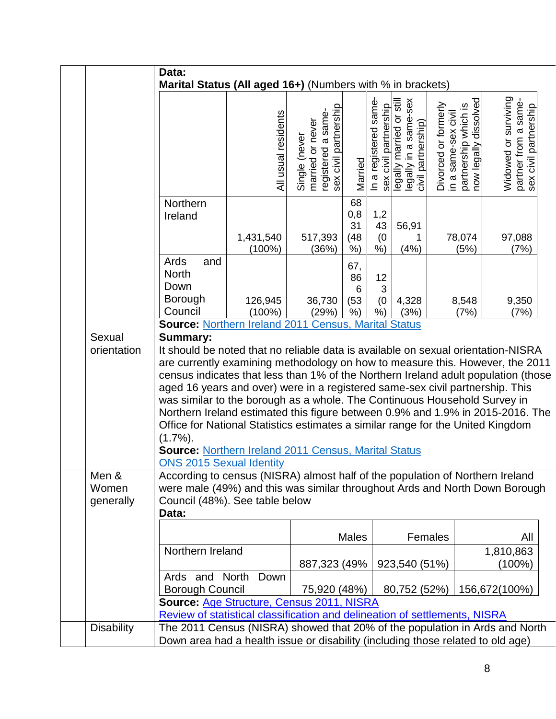|                             | Data:<br>Marital Status (All aged 16+) (Numbers with % in brackets)                                                                                                                                                                                                                                                                                                                                                                                                                                                                                                                                                                                                                                                             |                        |                                                                                  |                                  |                                                |                                                                        |                                             |                                               |                                                                       |  |
|-----------------------------|---------------------------------------------------------------------------------------------------------------------------------------------------------------------------------------------------------------------------------------------------------------------------------------------------------------------------------------------------------------------------------------------------------------------------------------------------------------------------------------------------------------------------------------------------------------------------------------------------------------------------------------------------------------------------------------------------------------------------------|------------------------|----------------------------------------------------------------------------------|----------------------------------|------------------------------------------------|------------------------------------------------------------------------|---------------------------------------------|-----------------------------------------------|-----------------------------------------------------------------------|--|
|                             |                                                                                                                                                                                                                                                                                                                                                                                                                                                                                                                                                                                                                                                                                                                                 | All usual residents    | sex civil partnership<br>registered a same-<br>married or never<br>Single (never | Married                          | In a registered same-<br>sex civil partnership | legally in a same-sex<br>civil partnership)<br>legally married or stil | Divorced or formerly<br>in a same-sex civil | partnership which is<br>now legally dissolved | Widowed or surviving<br>partner from a same-<br>sex civil partnership |  |
|                             | Northern<br>Ireland                                                                                                                                                                                                                                                                                                                                                                                                                                                                                                                                                                                                                                                                                                             | 1,431,540<br>$(100\%)$ | 517,393<br>(36%)                                                                 | 68<br>0,8<br>31<br>(48)<br>$%$ ) | 1,2<br>43<br>(0)<br>%                          | 56,91<br>1<br>(4%)                                                     |                                             | 78,074<br>(5%)                                | 97,088<br>(7%)                                                        |  |
|                             | Ards<br>and<br><b>North</b><br>Down<br>Borough<br>Council                                                                                                                                                                                                                                                                                                                                                                                                                                                                                                                                                                                                                                                                       | 126,945<br>$(100\%)$   | 36,730<br>(29%)                                                                  | 67,<br>86<br>6<br>(53)<br>$%$ )  | 12<br>3<br>(0)<br>$%$ )                        | 4,328<br>(3%)                                                          |                                             | 8,548<br>(7%)                                 | 9,350<br>(7%)                                                         |  |
|                             | <b>Source: Northern Ireland 2011 Census, Marital Status</b>                                                                                                                                                                                                                                                                                                                                                                                                                                                                                                                                                                                                                                                                     |                        |                                                                                  |                                  |                                                |                                                                        |                                             |                                               |                                                                       |  |
| Sexual<br>orientation       | <b>Summary:</b><br>It should be noted that no reliable data is available on sexual orientation-NISRA<br>are currently examining methodology on how to measure this. However, the 2011<br>census indicates that less than 1% of the Northern Ireland adult population (those<br>aged 16 years and over) were in a registered same-sex civil partnership. This<br>was similar to the borough as a whole. The Continuous Household Survey in<br>Northern Ireland estimated this figure between 0.9% and 1.9% in 2015-2016. The<br>Office for National Statistics estimates a similar range for the United Kingdom<br>$(1.7\%)$ .<br><b>Source: Northern Ireland 2011 Census, Marital Status</b><br><b>ONS 2015 Sexual Identity</b> |                        |                                                                                  |                                  |                                                |                                                                        |                                             |                                               |                                                                       |  |
| Men &<br>Women<br>generally | According to census (NISRA) almost half of the population of Northern Ireland<br>were male (49%) and this was similar throughout Ards and North Down Borough<br>Council (48%). See table below<br>Data:                                                                                                                                                                                                                                                                                                                                                                                                                                                                                                                         |                        |                                                                                  |                                  |                                                |                                                                        |                                             |                                               |                                                                       |  |
|                             |                                                                                                                                                                                                                                                                                                                                                                                                                                                                                                                                                                                                                                                                                                                                 |                        |                                                                                  | Males                            |                                                |                                                                        | Females                                     |                                               | All                                                                   |  |
|                             | Northern Ireland                                                                                                                                                                                                                                                                                                                                                                                                                                                                                                                                                                                                                                                                                                                |                        | 887,323 (49%                                                                     |                                  |                                                | 923,540 (51%)                                                          |                                             |                                               | 1,810,863<br>$(100\%)$                                                |  |
|                             | Ards and North<br>Borough Council                                                                                                                                                                                                                                                                                                                                                                                                                                                                                                                                                                                                                                                                                               | Down                   | 75,920 (48%)                                                                     |                                  |                                                | 80,752 (52%)                                                           |                                             |                                               | 156,672(100%)                                                         |  |
|                             | Source: Age Structure, Census 2011, NISRA<br>Review of statistical classification and delineation of settlements, NISRA                                                                                                                                                                                                                                                                                                                                                                                                                                                                                                                                                                                                         |                        |                                                                                  |                                  |                                                |                                                                        |                                             |                                               |                                                                       |  |
| <b>Disability</b>           |                                                                                                                                                                                                                                                                                                                                                                                                                                                                                                                                                                                                                                                                                                                                 |                        |                                                                                  |                                  |                                                |                                                                        |                                             |                                               |                                                                       |  |
|                             | The 2011 Census (NISRA) showed that 20% of the population in Ards and North<br>Down area had a health issue or disability (including those related to old age)                                                                                                                                                                                                                                                                                                                                                                                                                                                                                                                                                                  |                        |                                                                                  |                                  |                                                |                                                                        |                                             |                                               |                                                                       |  |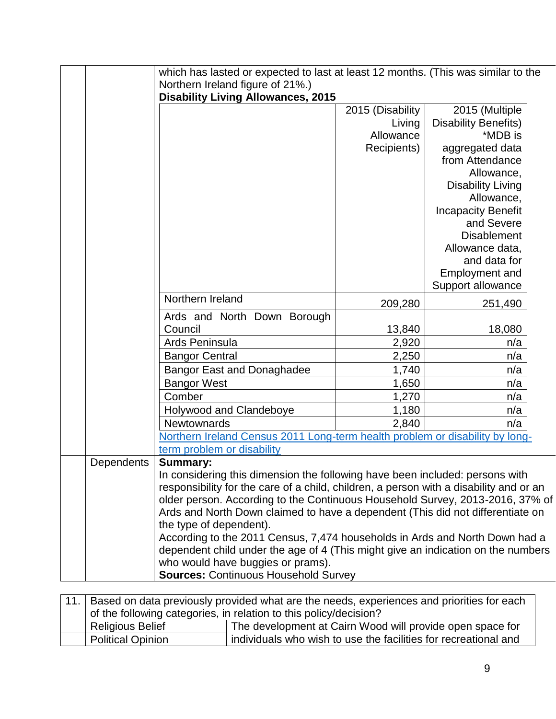|            |                                                                                        | which has lasted or expected to last at least 12 months. (This was similar to the |                             |  |  |  |  |  |
|------------|----------------------------------------------------------------------------------------|-----------------------------------------------------------------------------------|-----------------------------|--|--|--|--|--|
|            | Northern Ireland figure of 21%.)                                                       |                                                                                   |                             |  |  |  |  |  |
|            | <b>Disability Living Allowances, 2015</b>                                              |                                                                                   |                             |  |  |  |  |  |
|            |                                                                                        | 2015 (Disability                                                                  | 2015 (Multiple              |  |  |  |  |  |
|            |                                                                                        | Living                                                                            | <b>Disability Benefits)</b> |  |  |  |  |  |
|            |                                                                                        | Allowance                                                                         | *MDB is                     |  |  |  |  |  |
|            |                                                                                        | Recipients)                                                                       | aggregated data             |  |  |  |  |  |
|            |                                                                                        |                                                                                   | from Attendance             |  |  |  |  |  |
|            |                                                                                        |                                                                                   | Allowance,                  |  |  |  |  |  |
|            |                                                                                        |                                                                                   | <b>Disability Living</b>    |  |  |  |  |  |
|            |                                                                                        |                                                                                   | Allowance,                  |  |  |  |  |  |
|            |                                                                                        |                                                                                   | <b>Incapacity Benefit</b>   |  |  |  |  |  |
|            |                                                                                        |                                                                                   | and Severe                  |  |  |  |  |  |
|            |                                                                                        |                                                                                   | <b>Disablement</b>          |  |  |  |  |  |
|            |                                                                                        |                                                                                   | Allowance data,             |  |  |  |  |  |
|            |                                                                                        |                                                                                   | and data for                |  |  |  |  |  |
|            |                                                                                        |                                                                                   | Employment and              |  |  |  |  |  |
|            | Northern Ireland                                                                       |                                                                                   | Support allowance           |  |  |  |  |  |
|            |                                                                                        | 209,280                                                                           | 251,490                     |  |  |  |  |  |
|            | Ards and North Down Borough                                                            |                                                                                   |                             |  |  |  |  |  |
|            | Council                                                                                | 13,840                                                                            | 18,080                      |  |  |  |  |  |
|            | Ards Peninsula                                                                         | 2,920                                                                             | n/a                         |  |  |  |  |  |
|            | <b>Bangor Central</b>                                                                  | 2,250                                                                             | n/a                         |  |  |  |  |  |
|            | <b>Bangor East and Donaghadee</b>                                                      | 1,740                                                                             | n/a                         |  |  |  |  |  |
|            | <b>Bangor West</b>                                                                     | 1,650                                                                             | n/a                         |  |  |  |  |  |
|            | Comber                                                                                 | 1,270                                                                             | n/a                         |  |  |  |  |  |
|            | Holywood and Clandeboye                                                                | 1,180                                                                             | n/a                         |  |  |  |  |  |
|            | Newtownards                                                                            | 2,840                                                                             | n/a                         |  |  |  |  |  |
|            | Northern Ireland Census 2011 Long-term health problem or disability by long-           |                                                                                   |                             |  |  |  |  |  |
|            | term problem or disability                                                             |                                                                                   |                             |  |  |  |  |  |
| Dependents | <b>Summary:</b>                                                                        |                                                                                   |                             |  |  |  |  |  |
|            | In considering this dimension the following have been included: persons with           |                                                                                   |                             |  |  |  |  |  |
|            | responsibility for the care of a child, children, a person with a disability and or an |                                                                                   |                             |  |  |  |  |  |
|            |                                                                                        | older person. According to the Continuous Household Survey, 2013-2016, 37% of     |                             |  |  |  |  |  |
|            | Ards and North Down claimed to have a dependent (This did not differentiate on         |                                                                                   |                             |  |  |  |  |  |
|            | the type of dependent).                                                                |                                                                                   |                             |  |  |  |  |  |
|            | According to the 2011 Census, 7,474 households in Ards and North Down had a            |                                                                                   |                             |  |  |  |  |  |
|            | dependent child under the age of 4 (This might give an indication on the numbers       |                                                                                   |                             |  |  |  |  |  |
|            | who would have buggies or prams).<br><b>Sources: Continuous Household Survey</b>       |                                                                                   |                             |  |  |  |  |  |
|            |                                                                                        |                                                                                   |                             |  |  |  |  |  |

| 11. | Based on data previously provided what are the needs, experiences and priorities for each   |                                                           |  |  |  |  |  |
|-----|---------------------------------------------------------------------------------------------|-----------------------------------------------------------|--|--|--|--|--|
|     | of the following categories, in relation to this policy/decision?                           |                                                           |  |  |  |  |  |
|     | <b>Religious Belief</b>                                                                     | The development at Cairn Wood will provide open space for |  |  |  |  |  |
|     | individuals who wish to use the facilities for recreational and<br><b>Political Opinion</b> |                                                           |  |  |  |  |  |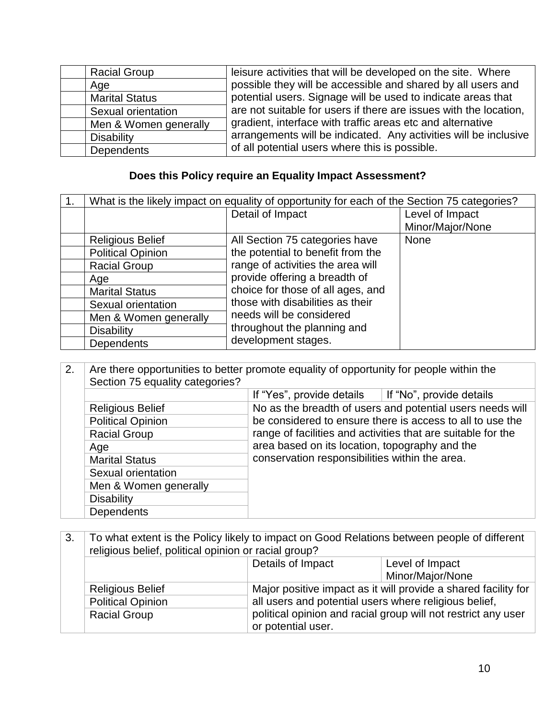| <b>Racial Group</b>   | leisure activities that will be developed on the site. Where      |
|-----------------------|-------------------------------------------------------------------|
| Age                   | possible they will be accessible and shared by all users and      |
| <b>Marital Status</b> | potential users. Signage will be used to indicate areas that      |
| Sexual orientation    | are not suitable for users if there are issues with the location, |
| Men & Women generally | gradient, interface with traffic areas etc and alternative        |
| <b>Disability</b>     | arrangements will be indicated. Any activities will be inclusive  |
| Dependents            | of all potential users where this is possible.                    |

## **Does this Policy require an Equality Impact Assessment?**

| What is the likely impact on equality of opportunity for each of the Section 75 categories? |                                   |                  |
|---------------------------------------------------------------------------------------------|-----------------------------------|------------------|
|                                                                                             | Detail of Impact                  | Level of Impact  |
|                                                                                             |                                   | Minor/Major/None |
| <b>Religious Belief</b>                                                                     | All Section 75 categories have    | <b>None</b>      |
| <b>Political Opinion</b>                                                                    | the potential to benefit from the |                  |
| <b>Racial Group</b>                                                                         | range of activities the area will |                  |
| Age                                                                                         | provide offering a breadth of     |                  |
| <b>Marital Status</b>                                                                       | choice for those of all ages, and |                  |
| Sexual orientation                                                                          | those with disabilities as their  |                  |
| Men & Women generally                                                                       | needs will be considered          |                  |
| <b>Disability</b>                                                                           | throughout the planning and       |                  |
| Dependents                                                                                  | development stages.               |                  |

| 2. | Are there opportunities to better promote equality of opportunity for people within the<br>Section 75 equality categories? |                                                                                                                                                                                                                               |                                                           |
|----|----------------------------------------------------------------------------------------------------------------------------|-------------------------------------------------------------------------------------------------------------------------------------------------------------------------------------------------------------------------------|-----------------------------------------------------------|
|    |                                                                                                                            | If "Yes", provide details                                                                                                                                                                                                     | If "No", provide details                                  |
|    | <b>Religious Belief</b>                                                                                                    |                                                                                                                                                                                                                               | No as the breadth of users and potential users needs will |
|    | <b>Political Opinion</b>                                                                                                   | be considered to ensure there is access to all to use the<br>range of facilities and activities that are suitable for the<br>area based on its location, topography and the<br>conservation responsibilities within the area. |                                                           |
|    | <b>Racial Group</b>                                                                                                        |                                                                                                                                                                                                                               |                                                           |
|    | Age                                                                                                                        |                                                                                                                                                                                                                               |                                                           |
|    | <b>Marital Status</b>                                                                                                      |                                                                                                                                                                                                                               |                                                           |
|    | Sexual orientation                                                                                                         |                                                                                                                                                                                                                               |                                                           |
|    | Men & Women generally                                                                                                      |                                                                                                                                                                                                                               |                                                           |
|    | <b>Disability</b>                                                                                                          |                                                                                                                                                                                                                               |                                                           |
|    | <b>Dependents</b>                                                                                                          |                                                                                                                                                                                                                               |                                                           |

| 3.                                                                                                           | To what extent is the Policy likely to impact on Good Relations between people of different<br>religious belief, political opinion or racial group? |                                                                                     |                                                                |  |
|--------------------------------------------------------------------------------------------------------------|-----------------------------------------------------------------------------------------------------------------------------------------------------|-------------------------------------------------------------------------------------|----------------------------------------------------------------|--|
|                                                                                                              |                                                                                                                                                     | Details of Impact                                                                   | Level of Impact                                                |  |
|                                                                                                              |                                                                                                                                                     |                                                                                     | Minor/Major/None                                               |  |
| <b>Religious Belief</b><br>all users and potential users where religious belief,<br><b>Political Opinion</b> |                                                                                                                                                     |                                                                                     | Major positive impact as it will provide a shared facility for |  |
|                                                                                                              |                                                                                                                                                     |                                                                                     |                                                                |  |
|                                                                                                              | <b>Racial Group</b>                                                                                                                                 | political opinion and racial group will not restrict any user<br>or potential user. |                                                                |  |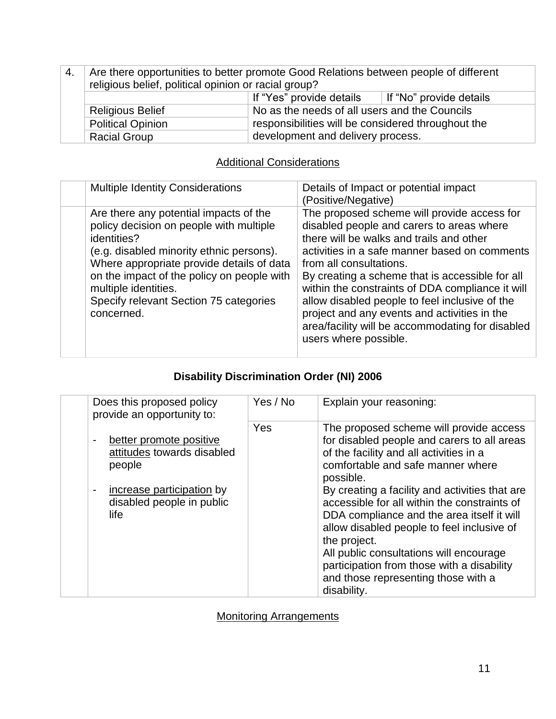| 4. | Are there opportunities to better promote Good Relations between people of different<br>religious belief, political opinion or racial group? |                                                    |                         |
|----|----------------------------------------------------------------------------------------------------------------------------------------------|----------------------------------------------------|-------------------------|
|    |                                                                                                                                              | If "Yes" provide details                           | If "No" provide details |
|    | No as the needs of all users and the Councils<br><b>Religious Belief</b>                                                                     |                                                    |                         |
|    | <b>Political Opinion</b>                                                                                                                     | responsibilities will be considered throughout the |                         |
|    | <b>Racial Group</b>                                                                                                                          | development and delivery process.                  |                         |

### **Additional Considerations**

| <b>Multiple Identity Considerations</b>                                                                                                                                                                                                                                                                                 | Details of Impact or potential impact<br>(Positive/Negative)                                                                                                                                                                                                                                                                                                                                                                                                                                           |
|-------------------------------------------------------------------------------------------------------------------------------------------------------------------------------------------------------------------------------------------------------------------------------------------------------------------------|--------------------------------------------------------------------------------------------------------------------------------------------------------------------------------------------------------------------------------------------------------------------------------------------------------------------------------------------------------------------------------------------------------------------------------------------------------------------------------------------------------|
| Are there any potential impacts of the<br>policy decision on people with multiple<br>identities?<br>(e.g. disabled minority ethnic persons).<br>Where appropriate provide details of data<br>on the impact of the policy on people with<br>multiple identities.<br>Specify relevant Section 75 categories<br>concerned. | The proposed scheme will provide access for<br>disabled people and carers to areas where<br>there will be walks and trails and other<br>activities in a safe manner based on comments<br>from all consultations.<br>By creating a scheme that is accessible for all<br>within the constraints of DDA compliance it will<br>allow disabled people to feel inclusive of the<br>project and any events and activities in the<br>area/facility will be accommodating for disabled<br>users where possible. |

### **Disability Discrimination Order (NI) 2006**

| Does this proposed policy<br>provide an opportunity to:                                      | Yes / No | Explain your reasoning:                                                                                                                                                                                                                                                                                 |
|----------------------------------------------------------------------------------------------|----------|---------------------------------------------------------------------------------------------------------------------------------------------------------------------------------------------------------------------------------------------------------------------------------------------------------|
| better promote positive<br>attitudes towards disabled<br>people<br>increase participation by | Yes      | The proposed scheme will provide access<br>for disabled people and carers to all areas<br>of the facility and all activities in a<br>comfortable and safe manner where<br>possible.<br>By creating a facility and activities that are                                                                   |
| disabled people in public<br>life                                                            |          | accessible for all within the constraints of<br>DDA compliance and the area itself it will<br>allow disabled people to feel inclusive of<br>the project.<br>All public consultations will encourage<br>participation from those with a disability<br>and those representing those with a<br>disability. |

Monitoring Arrangements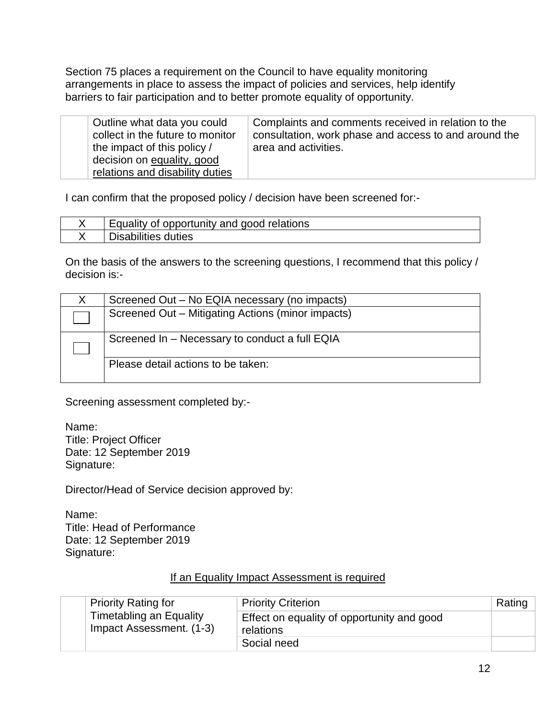Section 75 places a requirement on the Council to have equality monitoring arrangements in place to assess the impact of policies and services, help identify barriers to fair participation and to better promote equality of opportunity.

| Outline what data you could<br>collect in the future to monitor | Complaints and comments received in relation to the<br>consultation, work phase and access to and around the |
|-----------------------------------------------------------------|--------------------------------------------------------------------------------------------------------------|
| the impact of this policy /<br>decision on equality, good       | area and activities.                                                                                         |
| relations and disability duties                                 |                                                                                                              |

I can confirm that the proposed policy / decision have been screened for:-

| Equality of opportunity and good relations |
|--------------------------------------------|
| duties<br>sabilities                       |

On the basis of the answers to the screening questions, I recommend that this policy / decision is:-

| Screened Out - No EQIA necessary (no impacts)     |
|---------------------------------------------------|
| Screened Out - Mitigating Actions (minor impacts) |
|                                                   |
| Screened In - Necessary to conduct a full EQIA    |
|                                                   |
| Please detail actions to be taken:                |
|                                                   |

Screening assessment completed by:-

Name: Title: Project Officer Date: 12 September 2019 Signature:

Director/Head of Service decision approved by:

Name: Title: Head of Performance Date: 12 September 2019 Signature:

#### If an Equality Impact Assessment is required

| <b>Priority Rating for</b>                          | <b>Priority Criterion</b>                               | Rating |
|-----------------------------------------------------|---------------------------------------------------------|--------|
| Timetabling an Equality<br>Impact Assessment. (1-3) | Effect on equality of opportunity and good<br>relations |        |
|                                                     | Social need                                             |        |